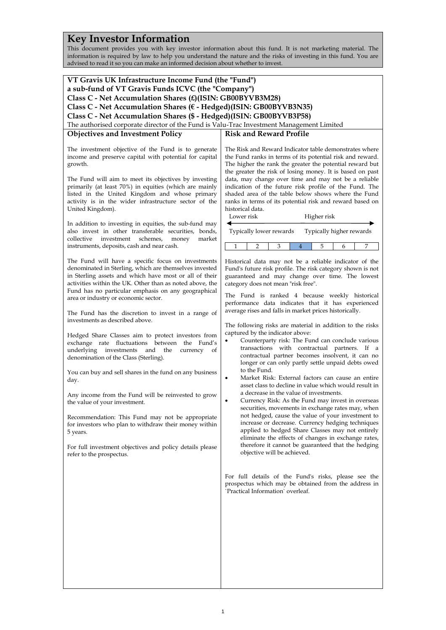# **Key Investor Information**

This document provides you with key investor information about this fund. It is not marketing material. The information is required by law to help you understand the nature and the risks of investing in this fund. You are advised to read it so you can make an informed decision about whether to invest.

| VT Gravis UK Infrastructure Income Fund (the "Fund")<br>a sub-fund of VT Gravis Funds ICVC (the "Company")<br>Class C - Net Accumulation Shares (£)(ISIN: GB00BYVB3M28)<br>Class C - Net Accumulation Shares (€ - Hedged)(ISIN: GB00BYVB3N35)<br>Class C - Net Accumulation Shares (\$ - Hedged)(ISIN: GB00BYVB3P58)<br>The authorised corporate director of the Fund is Valu-Trac Investment Management Limited<br><b>Risk and Reward Profile</b><br><b>Objectives and Investment Policy</b><br>The investment objective of the Fund is to generate<br>income and preserve capital with potential for capital<br>growth.<br>The Fund will aim to meet its objectives by investing<br>primarily (at least 70%) in equities (which are mainly<br>listed in the United Kingdom and whose primary<br>activity is in the wider infrastructure sector of the<br>United Kingdom).<br>historical data.<br>Lower risk<br>Higher risk<br>In addition to investing in equities, the sub-fund may<br>Typically lower rewards<br>also invest in other transferable securities, bonds,<br>collective<br>investment<br>schemes,<br>market<br>money<br>1<br>instruments, deposits, cash and near cash.<br>3<br>5<br>2<br>4<br>6<br>The Fund will have a specific focus on investments<br>denominated in Sterling, which are themselves invested<br>in Sterling assets and which have most or all of their<br>activities within the UK. Other than as noted above, the<br>category does not mean "risk free".<br>Fund has no particular emphasis on any geographical<br>area or industry or economic sector.<br>average rises and falls in market prices historically.<br>The Fund has the discretion to invest in a range of<br>investments as described above.<br>captured by the indicator above:<br>Hedged Share Classes aim to protect investors from<br>exchange rate fluctuations between the Fund's<br>underlying investments and the<br>currency<br>of<br>denomination of the Class (Sterling).<br>to the Fund.<br>You can buy and sell shares in the fund on any business<br>٠<br>day.<br>asset class to decline in value which would result in<br>a decrease in the value of investments.<br>Any income from the Fund will be reinvested to grow<br>٠<br>the value of your investment. | The Risk and Reward Indicator table demonstrates where<br>the Fund ranks in terms of its potential risk and reward.<br>The higher the rank the greater the potential reward but<br>the greater the risk of losing money. It is based on past<br>data, may change over time and may not be a reliable<br>indication of the future risk profile of the Fund. The<br>shaded area of the table below shows where the Fund<br>ranks in terms of its potential risk and reward based on<br>Typically higher rewards<br>7                                                                                              |
|-----------------------------------------------------------------------------------------------------------------------------------------------------------------------------------------------------------------------------------------------------------------------------------------------------------------------------------------------------------------------------------------------------------------------------------------------------------------------------------------------------------------------------------------------------------------------------------------------------------------------------------------------------------------------------------------------------------------------------------------------------------------------------------------------------------------------------------------------------------------------------------------------------------------------------------------------------------------------------------------------------------------------------------------------------------------------------------------------------------------------------------------------------------------------------------------------------------------------------------------------------------------------------------------------------------------------------------------------------------------------------------------------------------------------------------------------------------------------------------------------------------------------------------------------------------------------------------------------------------------------------------------------------------------------------------------------------------------------------------------------------------------------------------------------------------------------------------------------------------------------------------------------------------------------------------------------------------------------------------------------------------------------------------------------------------------------------------------------------------------------------------------------------------------------------------------------------------------------------------------------------------------------------------|-----------------------------------------------------------------------------------------------------------------------------------------------------------------------------------------------------------------------------------------------------------------------------------------------------------------------------------------------------------------------------------------------------------------------------------------------------------------------------------------------------------------------------------------------------------------------------------------------------------------|
|                                                                                                                                                                                                                                                                                                                                                                                                                                                                                                                                                                                                                                                                                                                                                                                                                                                                                                                                                                                                                                                                                                                                                                                                                                                                                                                                                                                                                                                                                                                                                                                                                                                                                                                                                                                                                                                                                                                                                                                                                                                                                                                                                                                                                                                                                   |                                                                                                                                                                                                                                                                                                                                                                                                                                                                                                                                                                                                                 |
|                                                                                                                                                                                                                                                                                                                                                                                                                                                                                                                                                                                                                                                                                                                                                                                                                                                                                                                                                                                                                                                                                                                                                                                                                                                                                                                                                                                                                                                                                                                                                                                                                                                                                                                                                                                                                                                                                                                                                                                                                                                                                                                                                                                                                                                                                   |                                                                                                                                                                                                                                                                                                                                                                                                                                                                                                                                                                                                                 |
|                                                                                                                                                                                                                                                                                                                                                                                                                                                                                                                                                                                                                                                                                                                                                                                                                                                                                                                                                                                                                                                                                                                                                                                                                                                                                                                                                                                                                                                                                                                                                                                                                                                                                                                                                                                                                                                                                                                                                                                                                                                                                                                                                                                                                                                                                   |                                                                                                                                                                                                                                                                                                                                                                                                                                                                                                                                                                                                                 |
|                                                                                                                                                                                                                                                                                                                                                                                                                                                                                                                                                                                                                                                                                                                                                                                                                                                                                                                                                                                                                                                                                                                                                                                                                                                                                                                                                                                                                                                                                                                                                                                                                                                                                                                                                                                                                                                                                                                                                                                                                                                                                                                                                                                                                                                                                   |                                                                                                                                                                                                                                                                                                                                                                                                                                                                                                                                                                                                                 |
|                                                                                                                                                                                                                                                                                                                                                                                                                                                                                                                                                                                                                                                                                                                                                                                                                                                                                                                                                                                                                                                                                                                                                                                                                                                                                                                                                                                                                                                                                                                                                                                                                                                                                                                                                                                                                                                                                                                                                                                                                                                                                                                                                                                                                                                                                   |                                                                                                                                                                                                                                                                                                                                                                                                                                                                                                                                                                                                                 |
|                                                                                                                                                                                                                                                                                                                                                                                                                                                                                                                                                                                                                                                                                                                                                                                                                                                                                                                                                                                                                                                                                                                                                                                                                                                                                                                                                                                                                                                                                                                                                                                                                                                                                                                                                                                                                                                                                                                                                                                                                                                                                                                                                                                                                                                                                   |                                                                                                                                                                                                                                                                                                                                                                                                                                                                                                                                                                                                                 |
|                                                                                                                                                                                                                                                                                                                                                                                                                                                                                                                                                                                                                                                                                                                                                                                                                                                                                                                                                                                                                                                                                                                                                                                                                                                                                                                                                                                                                                                                                                                                                                                                                                                                                                                                                                                                                                                                                                                                                                                                                                                                                                                                                                                                                                                                                   |                                                                                                                                                                                                                                                                                                                                                                                                                                                                                                                                                                                                                 |
|                                                                                                                                                                                                                                                                                                                                                                                                                                                                                                                                                                                                                                                                                                                                                                                                                                                                                                                                                                                                                                                                                                                                                                                                                                                                                                                                                                                                                                                                                                                                                                                                                                                                                                                                                                                                                                                                                                                                                                                                                                                                                                                                                                                                                                                                                   |                                                                                                                                                                                                                                                                                                                                                                                                                                                                                                                                                                                                                 |
|                                                                                                                                                                                                                                                                                                                                                                                                                                                                                                                                                                                                                                                                                                                                                                                                                                                                                                                                                                                                                                                                                                                                                                                                                                                                                                                                                                                                                                                                                                                                                                                                                                                                                                                                                                                                                                                                                                                                                                                                                                                                                                                                                                                                                                                                                   |                                                                                                                                                                                                                                                                                                                                                                                                                                                                                                                                                                                                                 |
|                                                                                                                                                                                                                                                                                                                                                                                                                                                                                                                                                                                                                                                                                                                                                                                                                                                                                                                                                                                                                                                                                                                                                                                                                                                                                                                                                                                                                                                                                                                                                                                                                                                                                                                                                                                                                                                                                                                                                                                                                                                                                                                                                                                                                                                                                   |                                                                                                                                                                                                                                                                                                                                                                                                                                                                                                                                                                                                                 |
|                                                                                                                                                                                                                                                                                                                                                                                                                                                                                                                                                                                                                                                                                                                                                                                                                                                                                                                                                                                                                                                                                                                                                                                                                                                                                                                                                                                                                                                                                                                                                                                                                                                                                                                                                                                                                                                                                                                                                                                                                                                                                                                                                                                                                                                                                   |                                                                                                                                                                                                                                                                                                                                                                                                                                                                                                                                                                                                                 |
|                                                                                                                                                                                                                                                                                                                                                                                                                                                                                                                                                                                                                                                                                                                                                                                                                                                                                                                                                                                                                                                                                                                                                                                                                                                                                                                                                                                                                                                                                                                                                                                                                                                                                                                                                                                                                                                                                                                                                                                                                                                                                                                                                                                                                                                                                   | Historical data may not be a reliable indicator of the<br>Fund's future risk profile. The risk category shown is not<br>guaranteed and may change over time. The lowest<br>The Fund is ranked 4 because weekly historical<br>performance data indicates that it has experienced<br>The following risks are material in addition to the risks<br>Counterparty risk: The Fund can conclude various<br>transactions with contractual partners. If a<br>contractual partner becomes insolvent, it can no<br>longer or can only partly settle unpaid debts owed<br>Market Risk: External factors can cause an entire |
| Recommendation: This Fund may not be appropriate<br>for investors who plan to withdraw their money within<br>5 years.<br>For full investment objectives and policy details please<br>objective will be achieved.<br>refer to the prospectus.                                                                                                                                                                                                                                                                                                                                                                                                                                                                                                                                                                                                                                                                                                                                                                                                                                                                                                                                                                                                                                                                                                                                                                                                                                                                                                                                                                                                                                                                                                                                                                                                                                                                                                                                                                                                                                                                                                                                                                                                                                      | Currency Risk: As the Fund may invest in overseas<br>securities, movements in exchange rates may, when<br>not hedged, cause the value of your investment to<br>increase or decrease. Currency hedging techniques<br>applied to hedged Share Classes may not entirely<br>eliminate the effects of changes in exchange rates,<br>therefore it cannot be guaranteed that the hedging                                                                                                                                                                                                                               |
| 'Practical Information' overleaf.                                                                                                                                                                                                                                                                                                                                                                                                                                                                                                                                                                                                                                                                                                                                                                                                                                                                                                                                                                                                                                                                                                                                                                                                                                                                                                                                                                                                                                                                                                                                                                                                                                                                                                                                                                                                                                                                                                                                                                                                                                                                                                                                                                                                                                                 | For full details of the Fund's risks, please see the<br>prospectus which may be obtained from the address in                                                                                                                                                                                                                                                                                                                                                                                                                                                                                                    |